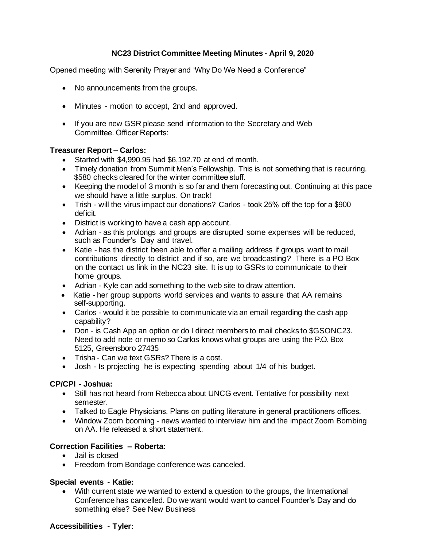# **NC23 District Committee Meeting Minutes - April 9, 2020**

Opened meeting with Serenity Prayer and 'Why Do We Need a Conference"

- No announcements from the groups.
- Minutes motion to accept, 2nd and approved.
- If you are new GSR please send information to the Secretary and Web Committee. Officer Reports:

#### **Treasurer Report – Carlos:**

- Started with \$4,990.95 had \$6,192.70 at end of month.
- Timely donation from Summit Men's Fellowship. This is not something that is recurring. \$580 checks cleared for the winter committee stuff.
- Keeping the model of 3 month is so far and them forecasting out. Continuing at this pace we should have a little surplus. On track!
- Trish will the virus impact our donations? Carlos took 25% off the top for a \$900 deficit.
- District is working to have a cash app account.
- Adrian as this prolongs and groups are disrupted some expenses will be reduced, such as Founder's Day and travel.
- Katie has the district been able to offer a mailing address if groups want to mail contributions directly to district and if so, are we broadcasting? There is a PO Box on the contact us link in the NC23 site. It is up to GSRs to communicate to their home groups.
- Adrian Kyle can add something to the web site to draw attention.
- Katie her group supports world services and wants to assure that AA remains self-supporting.
- Carlos would it be possible to communicate via an email regarding the cash app capability?
- Don is Cash App an option or do I direct members to mail checks to \$GSONC23. Need to add note or memo so Carlos knows what groups are using the P.O. Box 5125, Greensboro 27435
- Trisha Can we text GSRs? There is a cost.
- Josh Is projecting he is expecting spending about 1/4 of his budget.

## **CP/CPI - Joshua:**

- Still has not heard from Rebecca about UNCG event. Tentative for possibility next semester.
- Talked to Eagle Physicians. Plans on putting literature in general practitioners offices.
- Window Zoom booming news wanted to interview him and the impact Zoom Bombing on AA. He released a short statement.

## **Correction Facilities – Roberta:**

- Jail is closed
- Freedom from Bondage conference was canceled.

## **Special events - Katie:**

• With current state we wanted to extend a question to the groups, the International Conference has cancelled. Do we want would want to cancel Founder's Day and do something else? See New Business

#### **Accessibilities - Tyler:**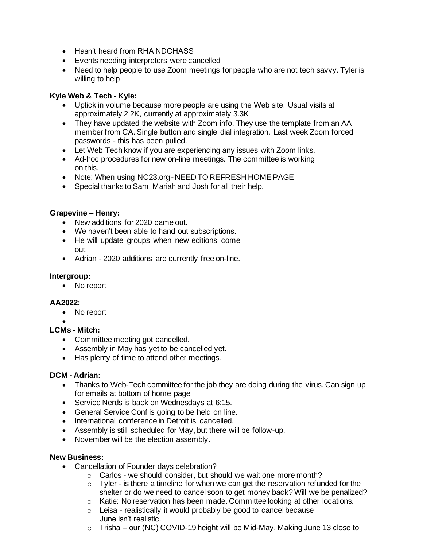- Hasn't heard from RHA NDCHASS
- Events needing interpreters were cancelled
- Need to help people to use Zoom meetings for people who are not tech savvy. Tyler is willing to help

## **Kyle Web & Tech - Kyle:**

- Uptick in volume because more people are using the Web site. Usual visits at approximately 2.2K, currently at approximately 3.3K
- They have updated the website with Zoom info. They use the template from an AA member from CA. Single button and single dial integration. Last week Zoom forced passwords - this has been pulled.
- Let Web Tech know if you are experiencing any issues with Zoom links.
- Ad-hoc procedures for new on-line meetings. The committee is working on this.
- Note: When using NC23.org-NEED TO REFRESH HOMEPAGE
- Special thanks to Sam, Mariah and Josh for all their help.

## **Grapevine – Henry:**

- New additions for 2020 came out.
- We haven't been able to hand out subscriptions.
- He will update groups when new editions come out.
- Adrian 2020 additions are currently free on-line.

## **Intergroup:**

• No report

# **AA2022:**

- No report
- •

# **LCMs - Mitch:**

- Committee meeting got cancelled.
- Assembly in May has yet to be cancelled yet.
- Has plenty of time to attend other meetings.

## **DCM - Adrian:**

- Thanks to Web-Tech committee for the job they are doing during the virus. Can sign up for emails at bottom of home page
- Service Nerds is back on Wednesdays at 6:15.
- General Service Conf is going to be held on line.
- International conference in Detroit is cancelled.
- Assembly is still scheduled for May, but there will be follow-up.
- November will be the election assembly.

## **New Business:**

- Cancellation of Founder days celebration?
	- o Carlos we should consider, but should we wait one more month?
	- $\circ$  Tyler is there a timeline for when we can get the reservation refunded for the shelter or do we need to cancel soon to get money back? Will we be penalized?
	- $\circ$  Katie: No reservation has been made. Committee looking at other locations.
	- $\circ$  Leisa realistically it would probably be good to cancel because June isn't realistic.
	- o Trisha our (NC) COVID-19 height will be Mid-May. Making June 13 close to